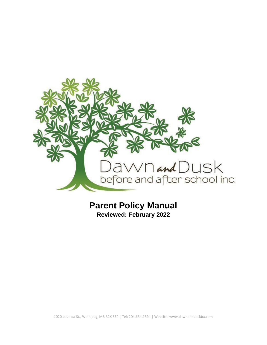

# **Parent Policy Manual**

**Reviewed: February 2022**

1020 Louelda St., Winnipeg, MB R2K 3Z4 | Tel: 204.654.1594 | Website: www.dawnandduskba.com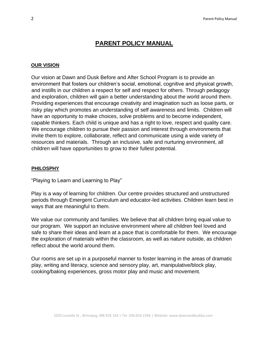## **PARENT POLICY MANUAL**

#### **OUR VISION**

Our vision at Dawn and Dusk Before and After School Program is to provide an environment that fosters our children's social, emotional, cognitive and physical growth, and instills in our children a respect for self and respect for others. Through pedagogy and exploration, children will gain a better understanding about the world around them. Providing experiences that encourage creativity and imagination such as loose parts, or risky play which promotes an understanding of self awareness and limits. Children will have an opportunity to make choices, solve problems and to become independent, capable thinkers. Each child is unique and has a right to love, respect and quality care. We encourage children to pursue their passion and interest through environments that invite them to explore, collaborate, reflect and communicate using a wide variety of resources and materials. Through an inclusive, safe and nurturing environment, all children will have opportunities to grow to their fullest potential.

#### **PHILOSPHY**

"Playing to Learn and Learning to Play"

Play is a way of learning for children. Our centre provides structured and unstructured periods through Emergent Curriculum and educator-led activities. Children learn best in ways that are meaningful to them.

We value our community and families. We believe that all children bring equal value to our program. We support an inclusive environment where all children feel loved and safe to share their ideas and learn at a pace that is comfortable for them. We encourage the exploration of materials within the classroom, as well as nature outside, as children reflect about the world around them.

Our rooms are set up in a purposeful manner to foster learning in the areas of dramatic play, writing and literacy, science and sensory play, art, manipulative/block play, cooking/baking experiences, gross motor play and music and movement.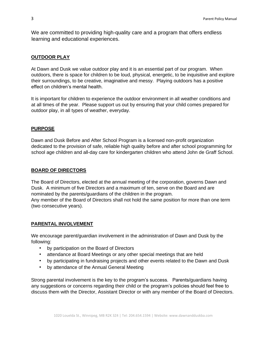We are committed to providing high-quality care and a program that offers endless learning and educational experiences.

## **OUTDOOR PLAY**

At Dawn and Dusk we value outdoor play and it is an essential part of our program. When outdoors, there is space for children to be loud, physical, energetic, to be inquisitive and explore their surroundings, to be creative, imaginative and messy. Playing outdoors has a positive effect on children's mental health.

It is important for children to experience the outdoor environment in all weather conditions and at all times of the year. Please support us out by ensuring that your child comes prepared for outdoor play, in all types of weather, everyday.

## **PURPOSE**

Dawn and Dusk Before and After School Program is a licensed non-profit organization dedicated to the provision of safe, reliable high quality before and after school programming for school age children and all-day care for kindergarten children who attend John de Graff School.

#### **BOARD OF DIRECTORS**

The Board of Directors, elected at the annual meeting of the corporation, governs Dawn and Dusk. A minimum of five Directors and a maximum of ten, serve on the Board and are nominated by the parents/guardians of the children in the program. Any member of the Board of Directors shall not hold the same position for more than one term (two consecutive years).

#### **PARENTAL INVOLVEMENT**

We encourage parent/guardian involvement in the administration of Dawn and Dusk by the following:

- by participation on the Board of Directors
- attendance at Board Meetings or any other special meetings that are held
- by participating in fundraising projects and other events related to the Dawn and Dusk
- by attendance of the Annual General Meeting

Strong parental involvement is the key to the program's success. Parents/guardians having any suggestions or concerns regarding their child or the program's policies should feel free to discuss them with the Director, Assistant Director or with any member of the Board of Directors.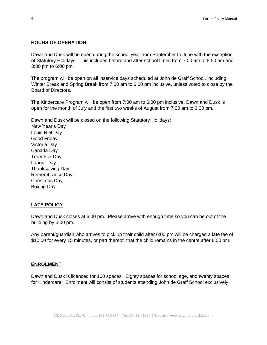#### **HOURS OF OPERATION**

Dawn and Dusk will be open during the school year from September to June with the exception of Statutory Holidays. This includes before and after school times from 7:00 am to 8:50 am and 3:30 pm to 6:00 pm.

The program will be open on all inservice days scheduled at John de Graff School, including Winter Break and Spring Break from 7:00 am to 6:00 pm inclusive, unless voted to close by the Board of Directors.

The Kindercare Program will be open from 7:00 am to 6:00 pm inclusive. Dawn and Dusk is open for the month of July and the first two weeks of August from 7:00 am to 6:00 pm.

Dawn and Dusk will be closed on the following Statutory Holidays: New Year's Day Louis Riel Day Good Friday Victoria Day Canada Day Terry Fox Day Labour Day Thanksgiving Day Remembrance Day Christmas Day

#### **LATE POLICY**

Boxing Day

Dawn and Dusk closes at 6:00 pm. Please arrive with enough time so you can be out of the building by 6:00 pm.

Any parent/guardian who arrives to pick up their child after 6:00 pm will be charged a late fee of \$10.00 for every 15 minutes, or part thereof, that the child remains in the centre after 6:00 pm.

#### **ENROLMENT**

Dawn and Dusk is licenced for 100 spaces. Eighty spaces for school age, and twenty spaces for Kindercare. Enrolment will consist of students attending John de Graff School exclusively.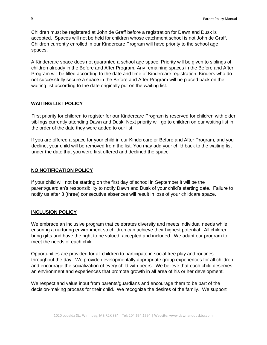Children must be registered at John de Graff before a registration for Dawn and Dusk is accepted. Spaces will not be held for children whose catchment school is not John de Graff. Children currently enrolled in our Kindercare Program will have priority to the school age spaces.

A Kindercare space does not guarantee a school age space. Priority will be given to siblings of children already in the Before and After Program. Any remaining spaces in the Before and After Program will be filled according to the date and time of Kindercare registration. Kinders who do not successfully secure a space in the Before and After Program will be placed back on the waiting list according to the date originally put on the waiting list.

#### **WAITING LIST POLICY**

First priority for children to register for our Kindercare Program is reserved for children with older siblings currently attending Dawn and Dusk. Next priority will go to children on our waiting list in the order of the date they were added to our list.

If you are offered a space for your child in our Kindercare or Before and After Program, and you decline, your child will be removed from the list. You may add your child back to the waiting list under the date that you were first offered and declined the space.

#### **NO NOTIFICATION POLICY**

If your child will not be starting on the first day of school in September it will be the parent/guardian's responsibility to notify Dawn and Dusk of your child's starting date. Failure to notify us after 3 (three) consecutive absences will result in loss of your childcare space.

#### **INCLUSION POLICY**

We embrace an inclusive program that celebrates diversity and meets individual needs while ensuring a nurturing environment so children can achieve their highest potential. All children bring gifts and have the right to be valued, accepted and included. We adapt our program to meet the needs of each child.

Opportunities are provided for all children to participate in social free play and routines throughout the day. We provide developmentally appropriate group experiences for all children and encourage the socialization of every child with peers. We believe that each child deserves an environment and experiences that promote growth in all area of his or her development.

We respect and value input from parents/guardians and encourage them to be part of the decision-making process for their child. We recognize the desires of the family. We support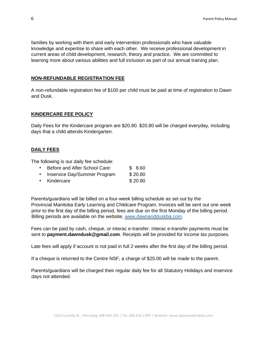families by working with them and early intervention professionals who have valuable knowledge and expertise to share with each other. We receive professional development in current areas of child development, research, theory and practice. We are committed to learning more about various abilities and full inclusion as part of our annual training plan.

#### **NON-REFUNDABLE REGISTRATION FEE**

A non-refundable registration fee of \$100 per child must be paid at time of registration to Dawn and Dusk.

#### **KINDERCARE FEE POLICY**

Daily Fees for the Kindercare program are \$20.80. \$20.80 will be charged everyday, including days that a child attends Kindergarten.

#### **DAILY FEES**

The following is our daily fee schedule:

- Before and After School Care: \$ 8.60
- Inservice Day/Summer Program \$20.80
- Kindercare \$ 20.80

Parents/guardians will be billed on a four-week billing schedule as set out by the Provincial Manitoba Early Learning and Childcare Program. Invoices will be sent out one week prior to the first day of the billing period, fees are due on the first Monday of the billing period. Billing periods are available on the website, www.dawnandduskba.co[m.](http://www.dawnandduskba.com/) 

Fees can be paid by cash, cheque, or interac e-transfer. Interac e-transfer payments must be sent to **payment.dawndusk@gmail.com**. Receipts will be provided for income tax purposes.

Late fees will apply if account is not paid in full 2 weeks after the first day of the billing period.

If a cheque is returned to the Centre NSF, a charge of \$25.00 will be made to the parent.

Parents/guardians will be charged their regular daily fee for all Statutory Holidays and inservice days not attended.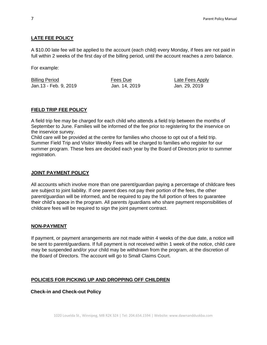## **LATE FEE POLICY**

A \$10.00 late fee will be applied to the account (each child) every Monday, if fees are not paid in full within 2 weeks of the first day of the billing period, until the account reaches a zero balance.

For example:

Billing Period Fees Due Late Fees Apply Jan.13 - Feb. 9, 2019 Jan. 14, 2019 Jan. 29, 2019

## **FIELD TRIP FEE POLICY**

A field trip fee may be charged for each child who attends a field trip between the months of September to June. Families will be informed of the fee prior to registering for the inservice on the inservice survey.

Child care will be provided at the centre for families who choose to opt out of a field trip. Summer Field Trip and Visitor Weekly Fees will be charged to families who register for our summer program. These fees are decided each year by the Board of Directors prior to summer registration.

#### **JOINT PAYMENT POLICY**

All accounts which involve more than one parent/guardian paying a percentage of childcare fees are subject to joint liability. If one parent does not pay their portion of the fees, the other parent/guardian will be informed, and be required to pay the full portion of fees to guarantee their child's space in the program. All parents /guardians who share payment responsibilities of childcare fees will be required to sign the joint payment contract.

## **NON-PAYMENT**

If payment, or payment arrangements are not made within 4 weeks of the due date, a notice will be sent to parent/guardians. If full payment is not received within 1 week of the notice, child care may be suspended and/or your child may be withdrawn from the program, at the discretion of the Board of Directors. The account will go to Small Claims Court.

## **POLICIES FOR PICKING UP AND DROPPING OFF CHILDREN**

**Check-in and Check-out Policy**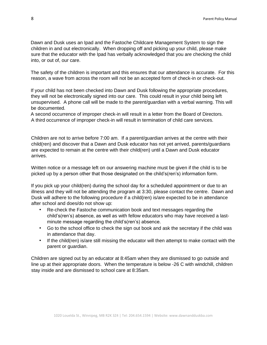Dawn and Dusk uses an Ipad and the Fastoche Childcare Management System to sign the children in and out electronically. When dropping off and picking up your child, please make sure that the educator with the Ipad has verbally acknowledged that you are checking the child into, or out of, our care.

The safety of the children is important and this ensures that our attendance is accurate. For this reason, a wave from across the room will not be an accepted form of check-in or check-out.

If your child has not been checked into Dawn and Dusk following the appropriate procedures, they will not be electronically signed into our care. This could result in your child being left unsupervised. A phone call will be made to the parent/guardian with a verbal warning. This will be documented.

A second occurrence of improper check-in will result in a letter from the Board of Directors. A third occurrence of improper check-in will result in termination of child care services.

Children are not to arrive before 7:00 am. If a parent/guardian arrives at the centre with their child(ren) and discover that a Dawn and Dusk educator has not yet arrived, parents/guardians are expected to remain at the centre with their child(ren) until a Dawn and Dusk educator arrives.

Written notice or a message left on our answering machine must be given if the child is to be picked up by a person other that those designated on the child's(ren's) information form.

If you pick up your child(ren) during the school day for a scheduled appointment or due to an illness and they will not be attending the program at 3:30, please contact the centre. Dawn and Dusk will adhere to the following procedure if a child(ren) is/are expected to be in attendance after school and does/do not show up:

- Re-check the Fastoche communication book and text messages regarding the child's(ren's) absence, as well as with fellow educators who may have received a lastminute message regarding the child's(ren's) absence.
- Go to the school office to check the sign out book and ask the secretary if the child was in attendance that day.
- If the child(ren) is/are still missing the educator will then attempt to make contact with the parent or guardian.

Children are signed out by an educator at 8:45am when they are dismissed to go outside and line up at their appropriate doors. When the temperature is below -26 C with windchill, children stay inside and are dismissed to school care at 8:35am.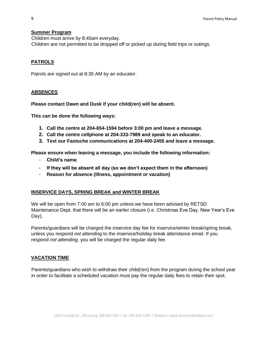#### **Summer Program**

Children must arrive by 8:45am everyday. Children are not permitted to be dropped off or picked up during field trips or outings.

## **PATROLS**

Patrols are signed out at 8:35 AM by an educator.

## **ABSENCES**

**Please contact Dawn and Dusk if your child(ren) will be absent.** 

**This can be done the following ways:** 

- **1. Call the centre at 204-654-1594 before 3:00 pm and leave a message.**
- **2. Call the centre cellphone at 204-333-7989 and speak to an educator.**
- **3. Text our Fastoche communications at 204-400-2455 and leave a message.**

**Please ensure when leaving a message, you include the following information:** 

- **Child's name**
- **If they will be absent all day (so we don't expect them in the afternoon)**
- **Reason for absence (illness, appointment or vacation)**

#### **INSERVICE DAYS, SPRING BREAK and WINTER BREAK**

We will be open from 7:00 am to 6:00 pm unless we have been advised by RETSD Maintenance Dept. that there will be an earlier closure (i.e. Christmas Eve Day, New Year's Eve Day).

Parents/guardians will be charged the inservice day fee for inservice/winter break/spring break, unless you respond *not attending* to the inservice/holiday break attendance email. If you respond *not attending*, you will be charged the regular daily fee.

#### **VACATION TIME**

Parents/guardians who wish to withdraw their child(ren) from the program during the school year in order to facilitate a scheduled vacation must pay the regular daily fees to retain their spot.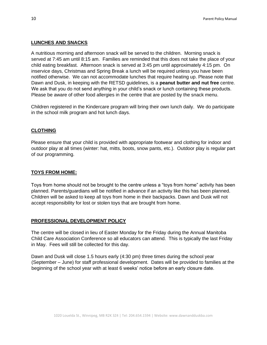#### **LUNCHES AND SNACKS**

A nutritious morning and afternoon snack will be served to the children. Morning snack is served at 7:45 am until 8:15 am. Families are reminded that this does not take the place of your child eating breakfast. Afternoon snack is served at 3:45 pm until approximately 4:15 pm. On inservice days, Christmas and Spring Break a lunch will be required unless you have been notified otherwise. We can not accommodate lunches that require heating up. Please note that Dawn and Dusk, in keeping with the RETSD guidelines, is a **peanut butter and nut free** centre. We ask that you do not send anything in your child's snack or lunch containing these products. Please be aware of other food allergies in the centre that are posted by the snack menu.

Children registered in the Kindercare program will bring their own lunch daily. We do participate in the school milk program and hot lunch days.

#### **CLOTHING**

Please ensure that your child is provided with appropriate footwear and clothing for indoor and outdoor play at all times (winter: hat, mitts, boots, snow pants, etc.). Outdoor play is regular part of our programming.

#### **TOYS FROM HOME:**

Toys from home should not be brought to the centre unless a "toys from home" activity has been planned. Parents/guardians will be notified in advance if an activity like this has been planned. Children will be asked to keep all toys from home in their backpacks. Dawn and Dusk will not accept responsibility for lost or stolen toys that are brought from home.

#### **PROFESSIONAL DEVELOPMENT POLICY**

The centre will be closed in lieu of Easter Monday for the Friday during the Annual Manitoba Child Care Association Conference so all educators can attend. This is typically the last Friday in May. Fees will still be collected for this day.

Dawn and Dusk will close 1.5 hours early (4:30 pm) three times during the school year (September – June) for staff professional development. Dates will be provided to families at the beginning of the school year with at least 6 weeks' notice before an early closure date.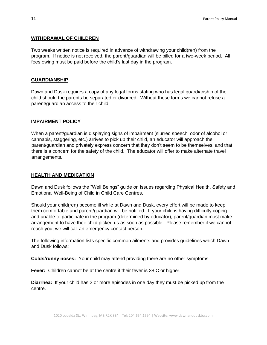#### **WITHDRAWAL OF CHILDREN**

Two weeks written notice is required in advance of withdrawing your child(ren) from the program. If notice is not received, the parent/guardian will be billed for a two-week period. All fees owing must be paid before the child's last day in the program.

#### **GUARDIANSHIP**

Dawn and Dusk requires a copy of any legal forms stating who has legal guardianship of the child should the parents be separated or divorced. Without these forms we cannot refuse a parent/guardian access to their child.

## **IMPAIRMENT POLICY**

When a parent/guardian is displaying signs of impairment (slurred speech, odor of alcohol or cannabis, staggering, etc.) arrives to pick up their child, an educator will approach the parent/guardian and privately express concern that they don't seem to be themselves, and that there is a concern for the safety of the child. The educator will offer to make alternate travel arrangements.

#### **HEALTH AND MEDICATION**

Dawn and Dusk follows the "Well Beings" guide on issues regarding Physical Health, Safety and Emotional Well-Being of Child in Child Care Centres.

Should your child(ren) become ill while at Dawn and Dusk, every effort will be made to keep them comfortable and parent/guardian will be notified. If your child is having difficulty coping and unable to participate in the program (determined by educator), parent/guardian must make arrangement to have their child picked us as soon as possible. Please remember if we cannot reach you, we will call an emergency contact person.

The following information lists specific common ailments and provides guidelines which Dawn and Dusk follows:

**Colds/runny noses:** Your child may attend providing there are no other symptoms.

**Fever:** Children cannot be at the centre if their fever is 38 C or higher.

**Diarrhea:** If your child has 2 or more episodes in one day they must be picked up from the centre.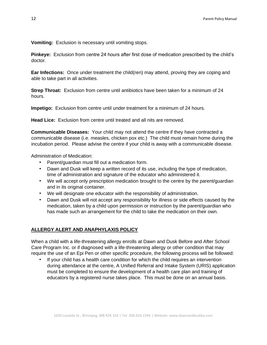**Vomiting:** Exclusion is necessary until vomiting stops.

**Pinkeye:** Exclusion from centre 24 hours after first dose of medication prescribed by the child's doctor.

**Ear Infections:** Once under treatment the child(ren) may attend, proving they are coping and able to take part in all activities.

**Strep Throat:** Exclusion from centre until antibiotics have been taken for a minimum of 24 hours.

**Impetigo:** Exclusion from centre until under treatment for a minimum of 24 hours.

**Head Lice:** Exclusion from centre until treated and all nits are removed.

**Communicable Diseases:** Your child may not attend the centre if they have contracted a communicable disease (i.e. measles, chicken pox etc.) The child must remain home during the incubation period. Please advise the centre if your child is away with a communicable disease.

Administration of Medication:

- Parent/guardian must fill out a medication form.
- Dawn and Dusk will keep a written record of its use, including the type of medication, time of administration and signature of the educator who administered it.
- We will accept only prescription medication brought to the centre by the parent/guardian and in its original container.
- We will designate one educator with the responsibility of administration.
- Dawn and Dusk will not accept any responsibility for illness or side effects caused by the medication, taken by a child upon permission or instruction by the parent/guardian who has made such an arrangement for the child to take the medication on their own.

## **ALLERGY ALERT AND ANAPHYLAXIS POLICY**

When a child with a life-threatening allergy enrolls at Dawn and Dusk Before and After School Care Program Inc. or if diagnosed with a life-threatening allergy or other condition that may require the use of an Epi Pen or other specific procedure, the following process will be followed:

If your child has a health care condition for which the child requires an intervention during attendance at the centre, A Unified Referral and Intake System (URIS) application must be completed to ensure the development of a health care plan and training of educators by a registered nurse takes place. This must be done on an annual basis.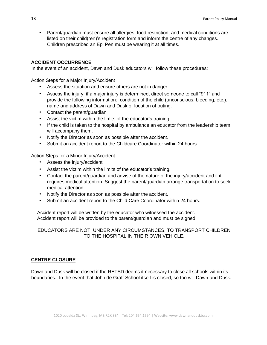• Parent/guardian must ensure all allergies, food restriction, and medical conditions are listed on their child(ren)'s registration form and inform the centre of any changes. Children prescribed an Epi Pen must be wearing it at all times.

## **ACCIDENT OCCURRENCE**

In the event of an accident, Dawn and Dusk educators will follow these procedures:

Action Steps for a Major Injury/Accident

- Assess the situation and ensure others are not in danger.
- Assess the injury; if a major injury is determined, direct someone to call "911" and provide the following information: condition of the child (unconscious, bleeding, etc.), name and address of Dawn and Dusk or location of outing.
- Contact the parent/guardian
- Assist the victim within the limits of the educator's training.
- If the child is taken to the hospital by ambulance an educator from the leadership team will accompany them.
- Notify the Director as soon as possible after the accident.
- Submit an accident report to the Childcare Coordinator within 24 hours.

Action Steps for a Minor Injury/Accident

- Assess the injury/accident
- Assist the victim within the limits of the educator's training.
- Contact the parent/guardian and advise of the nature of the injury/accident and if it requires medical attention. Suggest the parent/guardian arrange transportation to seek medical attention.
- Notify the Director as soon as possible after the accident.
- Submit an accident report to the Child Care Coordinator within 24 hours.

Accident report will be written by the educator who witnessed the accident. Accident report will be provided to the parent/guardian and must be signed.

EDUCATORS ARE NOT, UNDER ANY CIRCUMSTANCES, TO TRANSPORT CHILDREN TO THE HOSPITAL IN THEIR OWN VEHICLE.

## **CENTRE CLOSURE**

Dawn and Dusk will be closed if the RETSD deems it necessary to close all schools within its boundaries. In the event that John de Graff School itself is closed, so too will Dawn and Dusk.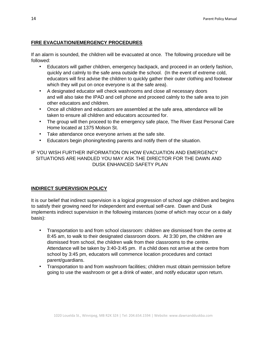#### **FIRE EVACUATION/EMERGENCY PROCEDURES**

If an alarm is sounded, the children will be evacuated at once. The following procedure will be followed:

- Educators will gather children, emergency backpack, and proceed in an orderly fashion, quickly and calmly to the safe area outside the school. (In the event of extreme cold, educators will first advise the children to quickly gather their outer clothing and footwear which they will put on once everyone is at the safe area).
- A designated educator will check washrooms and close all necessary doors and will also take the IPAD and cell phone and proceed calmly to the safe area to join other educators and children.
- Once all children and educators are assembled at the safe area, attendance will be taken to ensure all children and educators accounted for.
- The group will then proceed to the emergency safe place, The River East Personal Care Home located at 1375 Molson St.
- Take attendance once everyone arrives at the safe site.
- Educators begin phoning/texting parents and notify them of the situation.

IF YOU WISH FURTHER INFORMATION ON HOW EVACUATION AND EMERGENCY SITUATIONS ARE HANDLED YOU MAY ASK THE DIRECTOR FOR THE DAWN AND DUSK ENHANCED SAFETY PLAN

#### **INDIRECT SUPERVISION POLICY**

It is our belief that indirect supervision is a logical progression of school age children and begins to satisfy their growing need for independent and eventual self-care. Dawn and Dusk implements indirect supervision in the following instances (some of which may occur on a daily basis):

- Transportation to and from school classroom: children are dismissed from the centre at 8:45 am, to walk to their designated classroom doors. At 3:30 pm, the children are dismissed from school, the children walk from their classrooms to the centre. Attendance will be taken by 3:40-3:45 pm. If a child does not arrive at the centre from school by 3:45 pm, educators will commence location procedures and contact parent/guardians.
- Transportation to and from washroom facilities; children must obtain permission before going to use the washroom or get a drink of water, and notify educator upon return.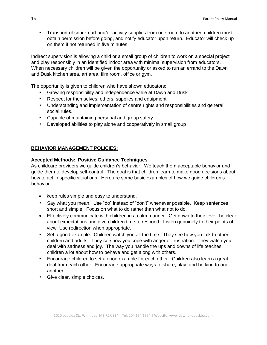• Transport of snack cart and/or activity supplies from one room to another; children must obtain permission before going, and notify educator upon return. Educator will check up on them if not returned in five minutes.

Indirect supervision is allowing a child or a small group of children to work on a special project and play responsibly in an identified indoor area with minimal supervision from educators. When necessary children will be given the opportunity or asked to run an errand to the Dawn and Dusk kitchen area, art area, film room, office or gym.

The opportunity is given to children who have shown educators:

- Growing responsibility and independence while at Dawn and Dusk
- Respect for themselves, others, supplies and equipment
- Understanding and implementation of centre rights and responsibilities and general social rules.
- Capable of maintaining personal and group safety
- Developed abilities to play alone and cooperatively in small group

## **BEHAVIOR MANAGEMENT POLICIES:**

## **Accepted Methods: Positive Guidance Techniques**

As childcare providers we guide children's behavior. We teach them acceptable behavior and guide them to develop self-control. The goal is that children learn to make good decisions about how to act in specific situations. Here are some basic examples of how we guide children's behavior:

- keep rules simple and easy to understand.
- Say what you mean.Use "do" instead of "don't" whenever possible. Keep sentences short and simple. Focus on what to do rather than what not to do.
- Effectively communicate with children in a calm manner. Get down to their level, be clear about expectations and give children time to respond. Listen genuinely to their points of view. Use redirection when appropriate.
- Set a good example. Children watch you all the time. They see how you talk to other children and adults. They see how you cope with anger or frustration. They watch you deal with sadness and joy. The way you handle the ups and downs of life teaches children a lot about how to behave and get along with others.
- Encourage children to set a good example for each other. Children also learn a great deal from each other. Encourage appropriate ways to share, play, and be kind to one another.
- Give clear, simple choices.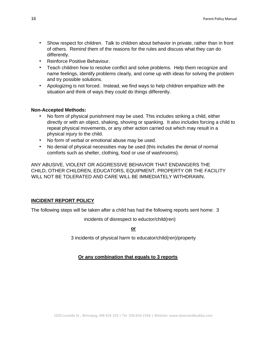- Show respect for children.Talk to children about behavior in private, rather than in front of others. Remind them of the reasons for the rules and discuss what they can do differently.
- Reinforce Positive Behaviour.
- Teach children how to resolve conflict and solve problems. Help them recognize and name feelings, identify problems clearly, and come up with ideas for solving the problem and try possible solutions.
- Apologizing is not forced. Instead, we find ways to help children empathize with the situation and think of ways they could do things differently.

#### **Non-Accepted Methods:**

- No form of physical punishment may be used. This includes striking a child, either directly or with an object, shaking, shoving or spanking. It also includes forcing a child to repeat physical movements, or any other action carried out which may result in a physical injury to the child.
- No form of verbal or emotional abuse may be used.
- No denial of physical necessities may be used (this includes the denial of normal comforts such as shelter, clothing, food or use of washrooms).

ANY ABUSIVE, VIOLENT OR AGGRESSIVE BEHAVIOR THAT ENDANGERS THE CHILD, OTHER CHILDREN, EDUCATORS, EQUIPMENT, PROPERTY OR THE FACILITY WILL NOT BE TOLERATED AND CARE WILL BE IMMEDIATELY WITHDRAWN.

#### **INCIDENT REPORT POLICY**

The following steps will be taken after a child has had the following reports sent home: 3

incidents of disrespect to eductor/child(ren)

**or** 

3 incidents of physical harm to educator/child(ren)/property

#### **Or any combination that equals to 3 reports**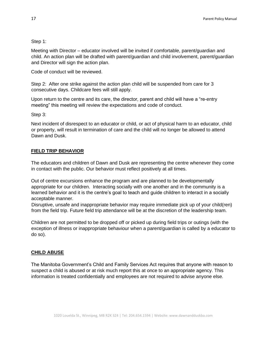#### Step 1:

Meeting with Director – educator involved will be invited if comfortable, parent/guardian and child. An action plan will be drafted with parent/guardian and child involvement, parent/guardian and Director will sign the action plan.

Code of conduct will be reviewed.

Step 2: After one strike against the action plan child will be suspended from care for 3 consecutive days. Childcare fees will still apply.

Upon return to the centre and its care, the director, parent and child will have a "re-entry meeting" this meeting will review the expectations and code of conduct.

Step 3:

Next incident of disrespect to an educator or child, or act of physical harm to an educator, child or property, will result in termination of care and the child will no longer be allowed to attend Dawn and Dusk.

#### **FIELD TRIP BEHAVIOR**

The educators and children of Dawn and Dusk are representing the centre whenever they come in contact with the public. Our behavior must reflect positively at all times.

Out of centre excursions enhance the program and are planned to be developmentally appropriate for our children. Interacting socially with one another and in the community is a learned behavior and it is the centre's goal to teach and guide children to interact in a socially acceptable manner.

Disruptive, unsafe and inappropriate behavior may require immediate pick up of your child(ren) from the field trip. Future field trip attendance will be at the discretion of the leadership team.

Children are not permitted to be dropped off or picked up during field trips or outings (with the exception of illness or inappropriate behaviour when a parent/guardian is called by a educator to do so).

#### **CHILD ABUSE**

The Manitoba Government's Child and Family Services Act requires that anyone with reason to suspect a child is abused or at risk much report this at once to an appropriate agency. This information is treated confidentially and employees are not required to advise anyone else.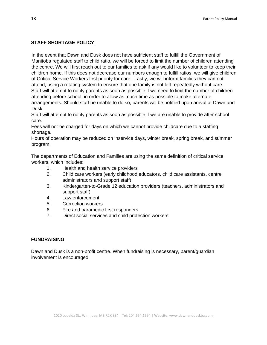#### **STAFF SHORTAGE POLICY**

In the event that Dawn and Dusk does not have sufficient staff to fulfill the Government of Manitoba regulated staff to child ratio, we will be forced to limit the number of children attending the centre. We will first reach out to our families to ask if any would like to volunteer to keep their children home. If this does not decrease our numbers enough to fulfill ratios, we will give children of Critical Service Workers first priority for care. Lastly, we will inform families they can not attend, using a rotating system to ensure that one family is not left repeatedly without care. Staff will attempt to notify parents as soon as possible if we need to limit the number of children attending before school, in order to allow as much time as possible to make alternate arrangements. Should staff be unable to do so, parents will be notified upon arrival at Dawn and Dusk.

Staff will attempt to notify parents as soon as possible if we are unable to provide after school care.

Fees will not be charged for days on which we cannot provide childcare due to a staffing shortage.

Hours of operation may be reduced on inservice days, winter break, spring break, and summer program.

The departments of Education and Families are using the same definition of critical service workers, which includes:

- 1. Health and health service providers
- 2. Child care workers (early childhood educators, child care assistants, centre administrators and support staff)
- 3. Kindergarten-to-Grade 12 education providers (teachers, administrators and support staff)
- 4. Law enforcement
- 5. Correction workers
- 6. Fire and paramedic first responders
- 7. Direct social services and child protection workers

## **FUNDRAISING**

Dawn and Dusk is a non-profit centre. When fundraising is necessary, parent/guardian involvement is encouraged.